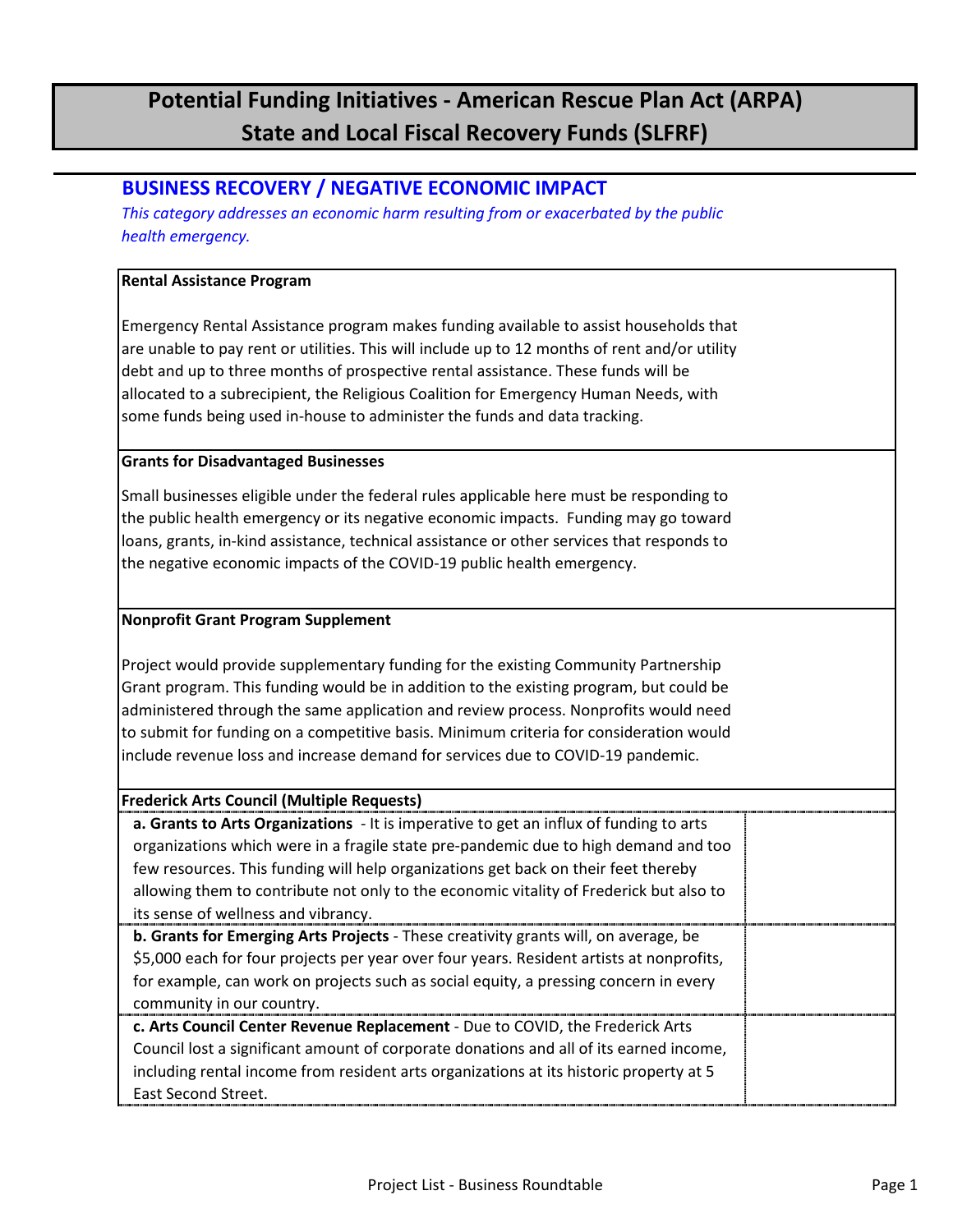## **Potential Funding Initiatives - American Rescue Plan Act (ARPA) State and Local Fiscal Recovery Funds (SLFRF)**

### **BUSINESS RECOVERY / NEGATIVE ECONOMIC IMPACT**

*This category addresses an economic harm resulting from or exacerbated by the public health emergency.*

#### **Rental Assistance Program**

Emergency Rental Assistance program makes funding available to assist households that are unable to pay rent or utilities. This will include up to 12 months of rent and/or utility debt and up to three months of prospective rental assistance. These funds will be allocated to a subrecipient, the Religious Coalition for Emergency Human Needs, with some funds being used in-house to administer the funds and data tracking.

#### **Grants for Disadvantaged Businesses**

Small businesses eligible under the federal rules applicable here must be responding to the public health emergency or its negative economic impacts. Funding may go toward loans, grants, in-kind assistance, technical assistance or other services that responds to the negative economic impacts of the COVID-19 public health emergency.

#### **Nonprofit Grant Program Supplement**

Project would provide supplementary funding for the existing Community Partnership Grant program. This funding would be in addition to the existing program, but could be administered through the same application and review process. Nonprofits would need to submit for funding on a competitive basis. Minimum criteria for consideration would include revenue loss and increase demand for services due to COVID-19 pandemic.

| <b>Frederick Arts Council (Multiple Requests)</b>                                             |  |
|-----------------------------------------------------------------------------------------------|--|
| <b>a. Grants to Arts Organizations</b> - It is imperative to get an influx of funding to arts |  |
| organizations which were in a fragile state pre-pandemic due to high demand and too           |  |
| few resources. This funding will help organizations get back on their feet thereby            |  |
| allowing them to contribute not only to the economic vitality of Frederick but also to        |  |
| its sense of wellness and vibrancy.                                                           |  |
| <b>b. Grants for Emerging Arts Projects</b> - These creativity grants will, on average, be    |  |
| \$5,000 each for four projects per year over four years. Resident artists at nonprofits,      |  |
| for example, can work on projects such as social equity, a pressing concern in every          |  |
| community in our country.                                                                     |  |
| c. Arts Council Center Revenue Replacement - Due to COVID, the Frederick Arts                 |  |
| Council lost a significant amount of corporate donations and all of its earned income,        |  |
| including rental income from resident arts organizations at its historic property at 5        |  |
| East Second Street.                                                                           |  |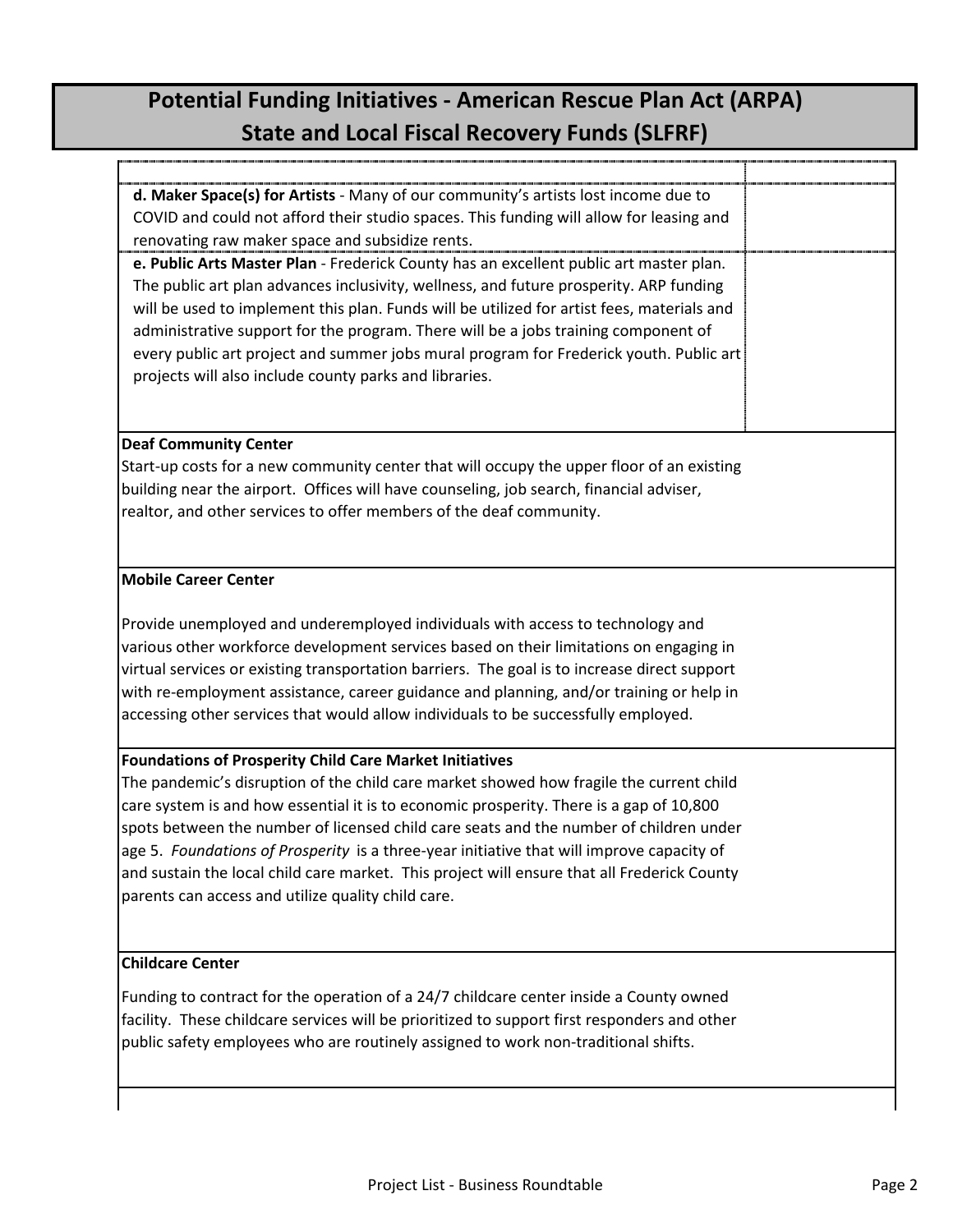# **Potential Funding Initiatives - American Rescue Plan Act (ARPA) State and Local Fiscal Recovery Funds (SLFRF)**

j.

 $\mathsf{I}$ 

| d. Maker Space(s) for Artists - Many of our community's artists lost income due to           |  |
|----------------------------------------------------------------------------------------------|--|
| COVID and could not afford their studio spaces. This funding will allow for leasing and      |  |
| renovating raw maker space and subsidize rents.                                              |  |
| e. Public Arts Master Plan - Frederick County has an excellent public art master plan.       |  |
| The public art plan advances inclusivity, wellness, and future prosperity. ARP funding       |  |
| will be used to implement this plan. Funds will be utilized for artist fees, materials and   |  |
| administrative support for the program. There will be a jobs training component of           |  |
| every public art project and summer jobs mural program for Frederick youth. Public art       |  |
| projects will also include county parks and libraries.                                       |  |
|                                                                                              |  |
| <b>Deaf Community Center</b>                                                                 |  |
| Start-up costs for a new community center that will occupy the upper floor of an existing    |  |
| building near the airport. Offices will have counseling, job search, financial adviser,      |  |
| realtor, and other services to offer members of the deaf community.                          |  |
|                                                                                              |  |
|                                                                                              |  |
| <b>Mobile Career Center</b>                                                                  |  |
|                                                                                              |  |
| Provide unemployed and underemployed individuals with access to technology and               |  |
| various other workforce development services based on their limitations on engaging in       |  |
| virtual services or existing transportation barriers. The goal is to increase direct support |  |
| with re-employment assistance, career guidance and planning, and/or training or help in      |  |
| accessing other services that would allow individuals to be successfully employed.           |  |
| <b>Foundations of Prosperity Child Care Market Initiatives</b>                               |  |
| The pandemic's disruption of the child care market showed how fragile the current child      |  |
| care system is and how essential it is to economic prosperity. There is a gap of 10,800      |  |
| spots between the number of licensed child care seats and the number of children under       |  |
| age 5. Foundations of Prosperity is a three-year initiative that will improve capacity of    |  |
| and sustain the local child care market. This project will ensure that all Frederick County  |  |
| parents can access and utilize quality child care.                                           |  |
|                                                                                              |  |
|                                                                                              |  |
| <b>Childcare Center</b>                                                                      |  |
| Funding to contract for the operation of a 24/7 childcare center inside a County owned       |  |
| facility. These childcare services will be prioritized to support first responders and other |  |
| public safety employees who are routinely assigned to work non-traditional shifts.           |  |
|                                                                                              |  |